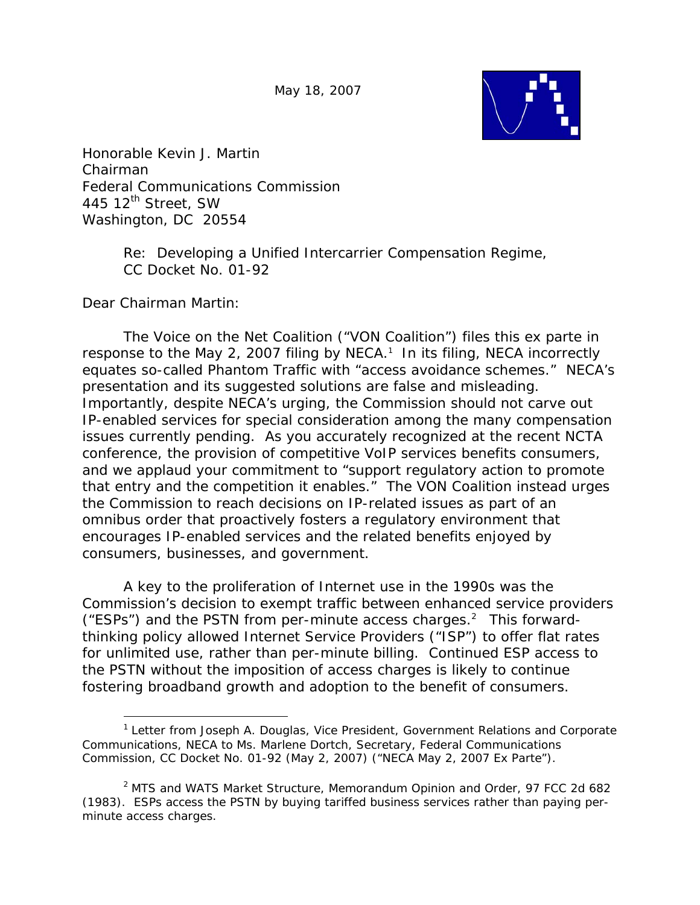May 18, 2007



Honorable Kevin J. Martin Chairman Federal Communications Commission 445  $12^{\text{th}}$  Street, SW Washington, DC 20554

> Re: Developing a Unified Intercarrier Compensation Regime, CC Docket No. 01-92

Dear Chairman Martin:

 $\overline{a}$ 

The Voice on the Net Coalition ("VON Coalition") files this *ex parte* in response to the May 2, 2007 filing by NECA.<sup>1</sup> In its filing, NECA incorrectly equates so-called Phantom Traffic with "access avoidance schemes." NECA's presentation and its suggested solutions are false and misleading. Importantly, despite NECA's urging, the Commission should not carve out IP-enabled services for special consideration among the many compensation issues currently pending. As you accurately recognized at the recent NCTA conference, the provision of competitive VoIP services benefits consumers, and we applaud your commitment to "support regulatory action to promote that entry and the competition it enables." The VON Coalition instead urges the Commission to reach decisions on IP-related issues as part of an omnibus order that proactively fosters a regulatory environment that encourages IP-enabled services and the related benefits enjoyed by consumers, businesses, and government.

A key to the proliferation of Internet use in the 1990s was the Commission's decision to exempt traffic between enhanced service providers ("ESPs") and the PSTN from per-minute access charges. $2$  This forwardthinking policy allowed Internet Service Providers ("ISP") to offer flat rates for unlimited use, rather than per-minute billing. Continued ESP access to the PSTN without the imposition of access charges is likely to continue fostering broadband growth and adoption to the benefit of consumers.

<sup>&</sup>lt;sup>1</sup> Letter from Joseph A. Douglas, Vice President, Government Relations and Corporate Communications, NECA to Ms. Marlene Dortch, Secretary, Federal Communications Commission, CC Docket No. 01-92 (May 2, 2007) ("NECA May 2, 2007 *Ex Parte*").

<sup>2</sup> *MTS and WATS Market Structure,* Memorandum Opinion and Order, 97 FCC 2d 682 (1983). ESPs access the PSTN by buying tariffed business services rather than paying perminute access charges.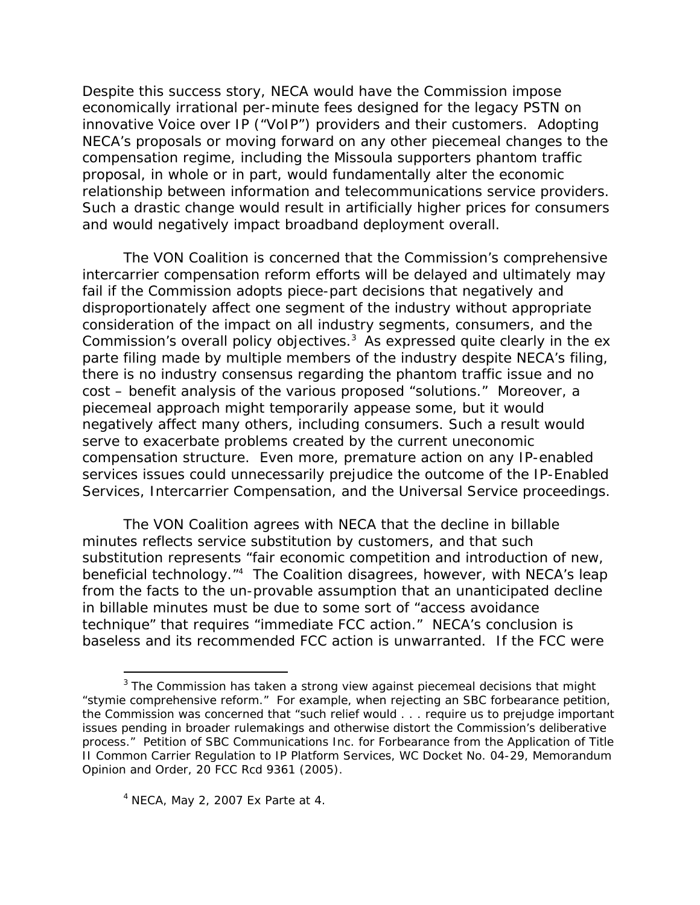Despite this success story, NECA would have the Commission impose economically irrational per-minute fees designed for the legacy PSTN on innovative Voice over IP ("VoIP") providers and their customers. Adopting NECA's proposals or moving forward on any other piecemeal changes to the compensation regime, including the Missoula supporters phantom traffic proposal, in whole or in part, would fundamentally alter the economic relationship between information and telecommunications service providers. Such a drastic change would result in artificially higher prices for consumers and would negatively impact broadband deployment overall.

The VON Coalition is concerned that the Commission's comprehensive intercarrier compensation reform efforts will be delayed and ultimately may fail if the Commission adopts piece-part decisions that negatively and disproportionately affect one segment of the industry without appropriate consideration of the impact on all industry segments, consumers, and the Commission's overall policy objectives.3 As expressed quite clearly in the ex parte filing made by multiple members of the industry despite NECA's filing, there is no industry consensus regarding the phantom traffic issue and no cost – benefit analysis of the various proposed "solutions." Moreover, a piecemeal approach might temporarily appease some, but it would negatively affect many others, including consumers. Such a result would serve to exacerbate problems created by the current uneconomic compensation structure. Even more, premature action on any IP-enabled services issues could unnecessarily prejudice the outcome of the *IP-Enabled Services, Intercarrier Compensation,* and the *Universal Service* proceedings.

The VON Coalition agrees with NECA that the decline in billable minutes reflects service substitution by customers, and that such substitution represents "fair economic competition and introduction of new, beneficial technology."4 The Coalition disagrees, however, with NECA's leap from the facts to the un-provable assumption that an unanticipated decline in billable minutes must be due to some sort of "access avoidance technique" that requires "immediate FCC action." NECA's conclusion is baseless and its recommended FCC action is unwarranted. If the FCC were

 $\overline{a}$ 

 $3$  The Commission has taken a strong view against piecemeal decisions that might "stymie comprehensive reform." For example, when rejecting an SBC forbearance petition, the Commission was concerned that "such relief would . . . require us to prejudge important issues pending in broader rulemakings and otherwise distort the Commission's deliberative process." *Petition of SBC Communications Inc. for Forbearance from the Application of Title II Common Carrier Regulation to IP Platform Services*, WC Docket No. 04-29, Memorandum Opinion and Order, 20 FCC Rcd 9361 (2005).

<sup>4</sup> NECA, May 2, 2007 *Ex Parte* at 4.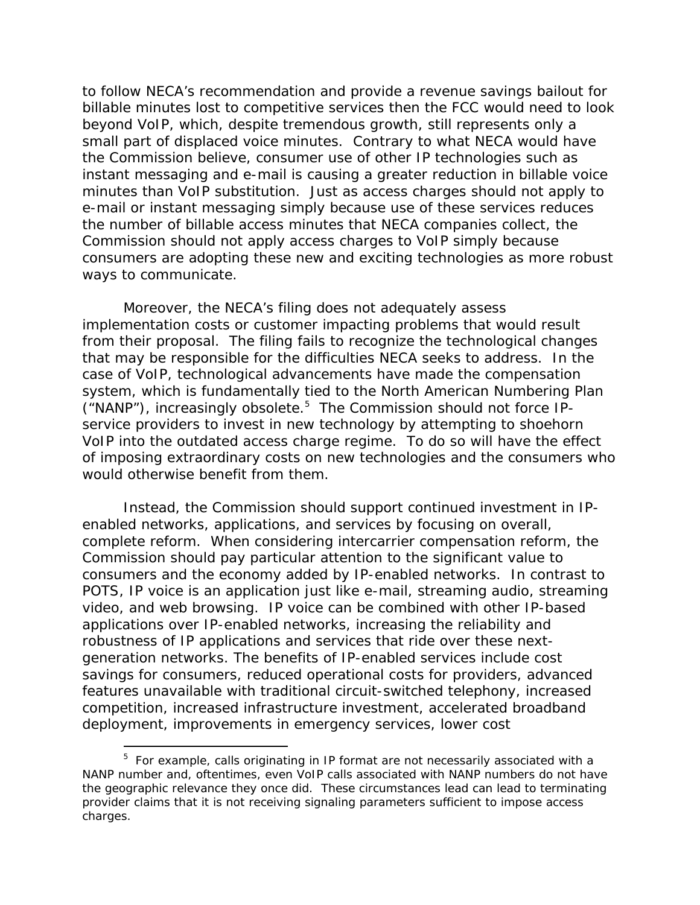to follow NECA's recommendation and provide a revenue savings bailout for billable minutes lost to competitive services then the FCC would need to look beyond VoIP, which, despite tremendous growth, still represents only a small part of displaced voice minutes. Contrary to what NECA would have the Commission believe, consumer use of other IP technologies such as instant messaging and e-mail is causing a greater reduction in billable voice minutes than VoIP substitution. Just as access charges should not apply to e-mail or instant messaging simply because use of these services reduces the number of billable access minutes that NECA companies collect, the Commission should not apply access charges to VoIP simply because consumers are adopting these new and exciting technologies as more robust ways to communicate.

Moreover, the NECA's filing does not adequately assess implementation costs or customer impacting problems that would result from their proposal.The filing fails to recognize the technological changes that may be responsible for the difficulties NECA seeks to address. In the case of VoIP, technological advancements have made the compensation system, which is fundamentally tied to the North American Numbering Plan ("NANP"), increasingly obsolete.5 The Commission should not force IPservice providers to invest in new technology by attempting to shoehorn VoIP into the outdated access charge regime. To do so will have the effect of imposing extraordinary costs on new technologies and the consumers who would otherwise benefit from them.

Instead, the Commission should support continued investment in IPenabled networks, applications, and services by focusing on overall, complete reform.When considering intercarrier compensation reform, the Commission should pay particular attention to the significant value to consumers and the economy added by IP-enabled networks. In contrast to POTS, IP voice is an application just like e-mail, streaming audio, streaming video, and web browsing. IP voice can be combined with other IP-based applications over IP-enabled networks, increasing the reliability and robustness of IP applications and services that ride over these nextgeneration networks. The benefits of IP-enabled services include cost savings for consumers, reduced operational costs for providers, advanced features unavailable with traditional circuit-switched telephony, increased competition, increased infrastructure investment, accelerated broadband deployment, improvements in emergency services, lower cost

-

<sup>&</sup>lt;sup>5</sup> For example, calls originating in IP format are not necessarily associated with a NANP number and, oftentimes, even VoIP calls associated with NANP numbers do not have the geographic relevance they once did. These circumstances lead can lead to terminating provider claims that it is not receiving signaling parameters sufficient to impose access charges.